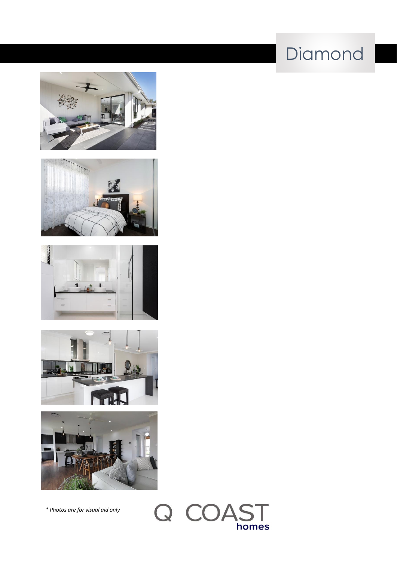# Diamond











*\* Photos are for visual aid only*

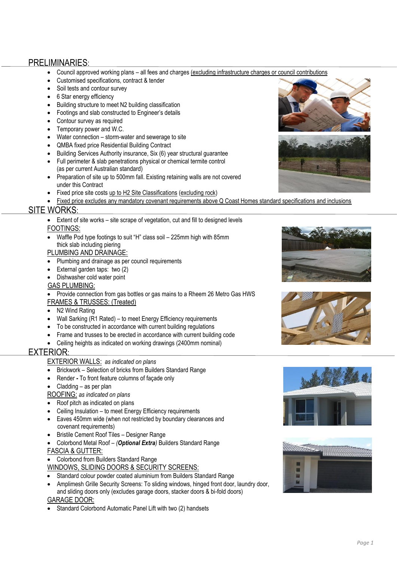### PRELIMINARIES:

- Council approved working plans all fees and charges (excluding infrastructure charges or council contributions
- Customised specifications, contract & tender
- Soil tests and contour survey
- 6 Star energy efficiency
- Building structure to meet N2 building classification
- Footings and slab constructed to Engineer's details
- Contour survey as required
- Temporary power and W.C.
- Water connection storm-water and sewerage to site
- QMBA fixed price Residential Building Contract
- Building Services Authority insurance, Six (6) year structural guarantee
- Full perimeter & slab penetrations physical or chemical termite control (as per current Australian standard)
- Preparation of site up to 500mm fall. Existing retaining walls are not covered under this Contract
- Fixed price site costs up to H2 Site Classifications (excluding rock)
- Fixed price excludes any mandatory covenant requirements above Q Coast Homes standard specifications and inclusions

#### SITE WORKS:

• Extent of site works – site scrape of vegetation, cut and fill to designed levels FOOTINGS:

• Waffle Pod type footings to suit "H" class soil – 225mm high with 85mm thick slab including piering

#### PLUMBING AND DRAINAGE:

- Plumbing and drainage as per council requirements
- External garden taps: two (2)
- Dishwasher cold water point

#### GAS PLUMBING:

• Provide connection from gas bottles or gas mains to a Rheem 26 Metro Gas HWS

- FRAMES & TRUSSES: (Treated)
- N<sub>2</sub> Wind Rating
- Wall Sarking (R1 Rated) to meet Energy Efficiency requirements
- To be constructed in accordance with current building regulations
- Frame and trusses to be erected in accordance with current building code
- Ceiling heights as indicated on working drawings (2400mm nominal)

#### EXTERIOR:

- EXTERIOR WALLS: *as indicated on plans*
- Brickwork Selection of bricks from Builders Standard Range
- Render *-* To front feature columns of façade only
- Cladding as per plan
- ROOFING: *as indicated on plans*
- Roof pitch as indicated on plans
- Ceiling Insulation to meet Energy Efficiency requirements
- Eaves 450mm wide (when not restricted by boundary clearances and covenant requirements)
- Bristile Cement Roof Tiles Designer Range
- Colorbond Metal Roof *(Optional Extra)* Builders Standard Range FASCIA & GUTTER:
- Colorbond from Builders Standard Range
- WINDOWS, SLIDING DOORS & SECURITY SCREENS:
- Standard colour powder coated aluminium from Builders Standard Range
- Amplimesh Grille Security Screens: To sliding windows, hinged front door, laundry door,

 and sliding doors only (excludes garage doors, stacker doors & bi-fold doors) GARAGE DOOR:

• Standard Colorbond Automatic Panel Lift with two (2) handsets











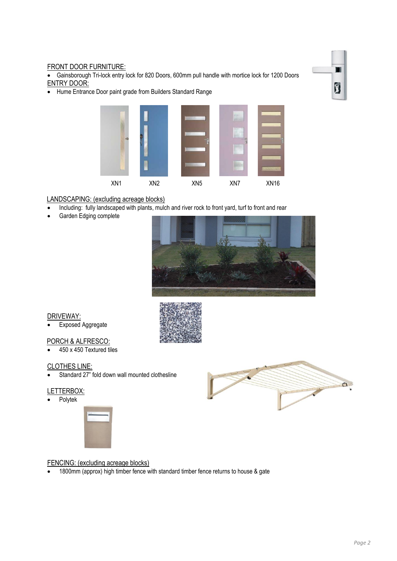#### FRONT DOOR FURNITURE:

• Gainsborough Tri-lock entry lock for 820 Doors, 600mm pull handle with mortice lock for 1200 Doors ENTRY DOOR:

• Hume Entrance Door paint grade from Builders Standard Range



#### LANDSCAPING: (excluding acreage blocks)

- Including: fully landscaped with plants, mulch and river rock to front yard, turf to front and rear
- Garden Edging complete



#### DRIVEWAY:

**Exposed Aggregate** 

#### PORCH & ALFRESCO:

• 450 x 450 Textured tiles

#### CLOTHES LINE:

• Standard 27" fold down wall mounted clothesline

#### LETTERBOX:

• Polytek



# 57

#### FENCING: (excluding acreage blocks)

• 1800mm (approx) high timber fence with standard timber fence returns to house & gate



П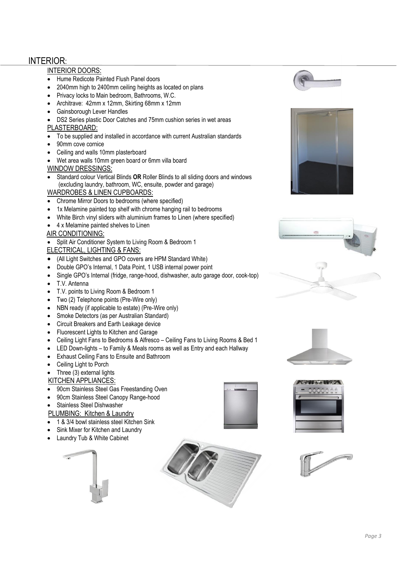## INTERIOR:

#### INTERIOR DOORS:

- Hume Redicote Painted Flush Panel doors
- 2040mm high to 2400mm ceiling heights as located on plans
- Privacy locks to Main bedroom, Bathrooms, W.C.
- Architrave: 42mm x 12mm, Skirting 68mm x 12mm
- Gainsborough Lever Handles
- DS2 Series plastic Door Catches and 75mm cushion series in wet areas

#### PLASTERBOARD:

- To be supplied and installed in accordance with current Australian standards
- 90mm cove cornice
- Ceiling and walls 10mm plasterboard
- Wet area walls 10mm green board or 6mm villa board

#### WINDOW DRESSINGS:

• Standard colour Vertical Blinds **OR** Roller Blinds to all sliding doors and windows (excluding laundry, bathroom, WC, ensuite, powder and garage)

#### WARDROBES & LINEN CUPBOARDS:

- Chrome Mirror Doors to bedrooms (where specified)
- 1x Melamine painted top shelf with chrome hanging rail to bedrooms
- White Birch vinyl sliders with aluminium frames to Linen (where specified)
- 4 x Melamine painted shelves to Linen

#### AIR CONDITIONING:

• Split Air Conditioner System to Living Room & Bedroom 1

#### ELECTRICAL, LIGHTING & FANS:

- (All Light Switches and GPO covers are HPM Standard White)
- Double GPO's Internal, 1 Data Point, 1 USB internal power point
- Single GPO's Internal (fridge, range-hood, dishwasher, auto garage door, cook-top)
- T.V. Antenna
- T.V. points to Living Room & Bedroom 1
- Two (2) Telephone points (Pre-Wire only)
- NBN ready (if applicable to estate) (Pre-Wire only)
- Smoke Detectors (as per Australian Standard)
- Circuit Breakers and Earth Leakage device
- Fluorescent Lights to Kitchen and Garage
- Ceiling Light Fans to Bedrooms & Alfresco Ceiling Fans to Living Rooms & Bed 1
- LED Down-lights to Family & Meals rooms as well as Entry and each Hallway
- Exhaust Ceiling Fans to Ensuite and Bathroom
- Ceiling Light to Porch

#### • Three (3) external lights

#### KITCHEN APPLIANCES:

- 90cm Stainless Steel Gas Freestanding Oven
- 90cm Stainless Steel Canopy Range-hood
- Stainless Steel Dishwasher
- PLUMBING: Kitchen & Laundry
- 1 & 3/4 bowl stainless steel Kitchen Sink
- Sink Mixer for Kitchen and Laundry
- Laundry Tub & White Cabinet















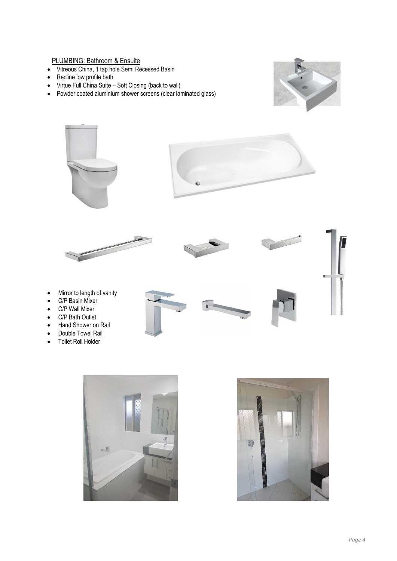#### PLUMBING: Bathroom & Ensuite

- Vitreous China, 1 tap hole Semi Recessed Basin
- Recline low profile bath
- Virtue Full China Suite Soft Closing (back to wall)
- Powder coated aluminium shower screens (clear laminated glass)





- Mirror to length of vanity
- C/P Basin Mixer
- C/P Wall Mixer
- C/P Bath Outlet
- Hand Shower on Rail
- Double Towel Rail
- Toilet Roll Holder